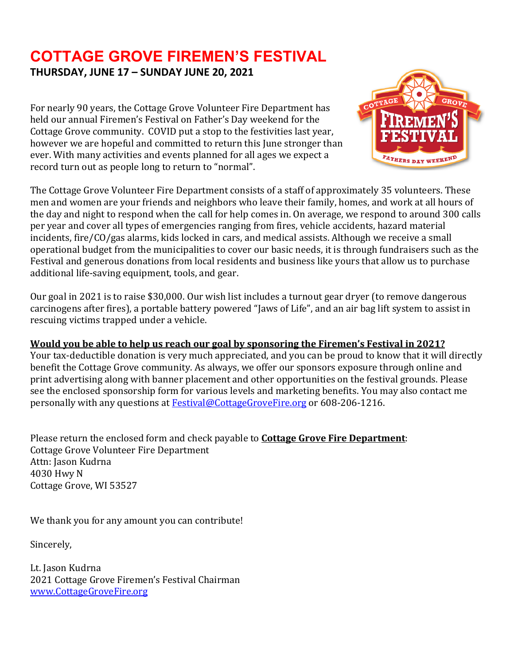## **COTTAGE GROVE FIREMEN'S FESTIVAL THURSDAY, JUNE 17 – SUNDAY JUNE 20, 2021**

For nearly 90 years, the Cottage Grove Volunteer Fire Department has held our annual Firemen's Festival on Father's Day weekend for the Cottage Grove community. COVID put a stop to the festivities last year, however we are hopeful and committed to return this June stronger than ever. With many activities and events planned for all ages we expect a record turn out as people long to return to "normal".



The Cottage Grove Volunteer Fire Department consists of a staff of approximately 35 volunteers. These men and women are your friends and neighbors who leave their family, homes, and work at all hours of the day and night to respond when the call for help comes in. On average, we respond to around 300 calls per year and cover all types of emergencies ranging from fires, vehicle accidents, hazard material incidents, fire/CO/gas alarms, kids locked in cars, and medical assists. Although we receive a small operational budget from the municipalities to cover our basic needs, it is through fundraisers such as the Festival and generous donations from local residents and business like yours that allow us to purchase additional life-saving equipment, tools, and gear.

Our goal in 2021 is to raise \$30,000. Our wish list includes a turnout gear dryer (to remove dangerous carcinogens after fires), a portable battery powered "Jaws of Life", and an air bag lift system to assist in rescuing victims trapped under a vehicle.

#### **Would you be able to help us reach our goal by sponsoring the Firemen's Festival in 2021?**

Your tax-deductible donation is very much appreciated, and you can be proud to know that it will directly benefit the Cottage Grove community. As always, we offer our sponsors exposure through online and print advertising along with banner placement and other opportunities on the festival grounds. Please see the enclosed sponsorship form for various levels and marketing benefits. You may also contact me personally with any questions at [Festival@CottageGroveFire.org](mailto:Festival@CottageGroveFire.org) or 608-206-1216.

Please return the enclosed form and check payable to **Cottage Grove Fire Department**: Cottage Grove Volunteer Fire Department Attn: Jason Kudrna 4030 Hwy N Cottage Grove, WI 53527

We thank you for any amount you can contribute!

Sincerely,

Lt. Jason Kudrna 2021 Cottage Grove Firemen's Festival Chairman [www.CottageGroveFire.org](http://www.cottagegrovefire.org/)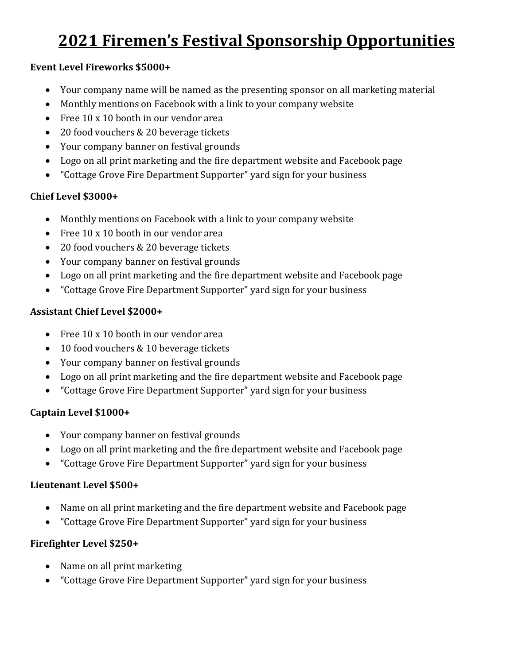# **2021 Firemen's Festival Sponsorship Opportunities**

#### **Event Level Fireworks \$5000+**

- Your company name will be named as the presenting sponsor on all marketing material
- Monthly mentions on Facebook with a link to your company website
- Free 10 x 10 booth in our vendor area
- 20 food vouchers & 20 beverage tickets
- Your company banner on festival grounds
- Logo on all print marketing and the fire department website and Facebook page
- "Cottage Grove Fire Department Supporter" yard sign for your business

## **Chief Level \$3000+**

- Monthly mentions on Facebook with a link to your company website
- Free 10 x 10 booth in our vendor area
- 20 food vouchers & 20 beverage tickets
- Your company banner on festival grounds
- Logo on all print marketing and the fire department website and Facebook page
- "Cottage Grove Fire Department Supporter" yard sign for your business

## **Assistant Chief Level \$2000+**

- Free 10 x 10 booth in our vendor area
- 10 food vouchers & 10 beverage tickets
- Your company banner on festival grounds
- Logo on all print marketing and the fire department website and Facebook page
- "Cottage Grove Fire Department Supporter" yard sign for your business

## **Captain Level \$1000+**

- Your company banner on festival grounds
- Logo on all print marketing and the fire department website and Facebook page
- "Cottage Grove Fire Department Supporter" yard sign for your business

#### **Lieutenant Level \$500+**

- Name on all print marketing and the fire department website and Facebook page
- "Cottage Grove Fire Department Supporter" yard sign for your business

## **Firefighter Level \$250+**

- Name on all print marketing
- "Cottage Grove Fire Department Supporter" yard sign for your business